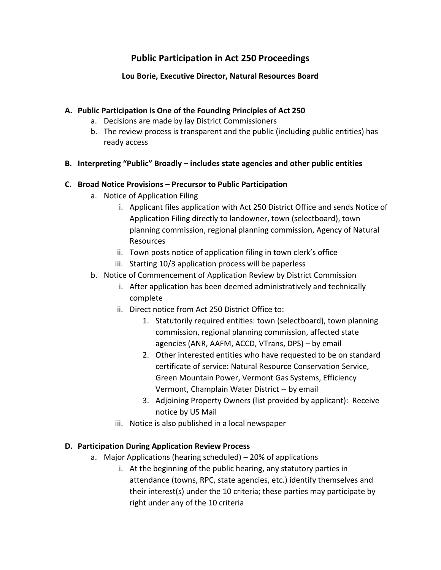# **Public Participation in Act 250 Proceedings**

## **Lou Borie, Executive Director, Natural Resources Board**

## **A. Public Participation is One of the Founding Principles of Act 250**

- a. Decisions are made by lay District Commissioners
- b. The review process is transparent and the public (including public entities) has ready access

## **B. Interpreting "Public" Broadly – includes state agencies and other public entities**

#### **C. Broad Notice Provisions – Precursor to Public Participation**

- a. Notice of Application Filing
	- i. Applicant files application with Act 250 District Office and sends Notice of Application Filing directly to landowner, town (selectboard), town planning commission, regional planning commission, Agency of Natural Resources
	- ii. Town posts notice of application filing in town clerk's office
	- iii. Starting 10/3 application process will be paperless
- b. Notice of Commencement of Application Review by District Commission
	- i. After application has been deemed administratively and technically complete
	- ii. Direct notice from Act 250 District Office to:
		- 1. Statutorily required entities: town (selectboard), town planning commission, regional planning commission, affected state agencies (ANR, AAFM, ACCD, VTrans, DPS) – by email
		- 2. Other interested entities who have requested to be on standard certificate of service: Natural Resource Conservation Service, Green Mountain Power, Vermont Gas Systems, Efficiency Vermont, Champlain Water District -- by email
		- 3. Adjoining Property Owners (list provided by applicant): Receive notice by US Mail
	- iii. Notice is also published in a local newspaper

#### **D. Participation During Application Review Process**

- a. Major Applications (hearing scheduled) 20% of applications
	- i. At the beginning of the public hearing, any statutory parties in attendance (towns, RPC, state agencies, etc.) identify themselves and their interest(s) under the 10 criteria; these parties may participate by right under any of the 10 criteria